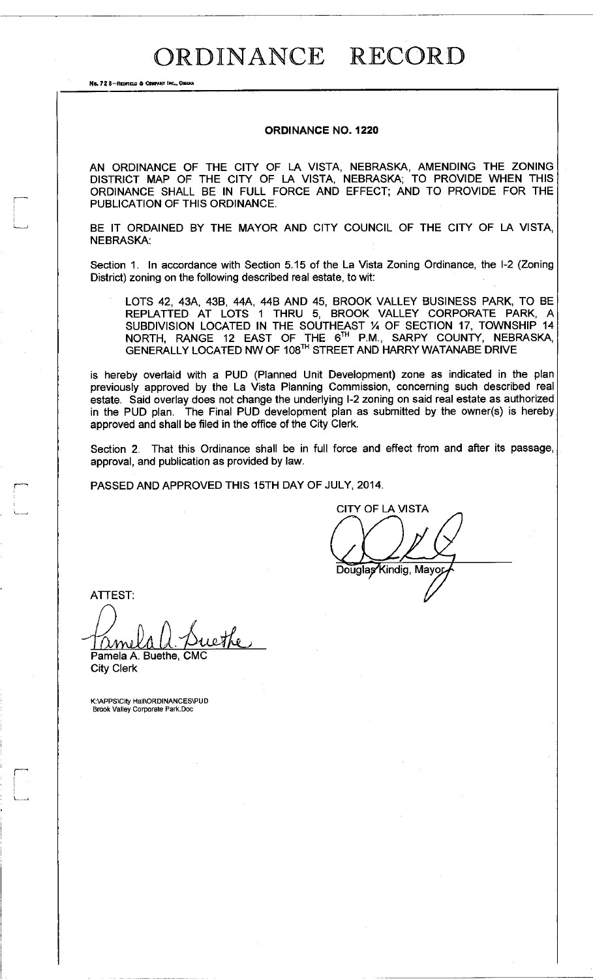## ORDINANCE RECORD

No. 72 8-REDFIELD & COMPANY INC., OMAHA

## **ORDINANCE NO. 1220**

AN ORDINANCE OF THE CITY OF LA VISTA, NEBRASKA, AMENDING THE ZONING DISTRICT MAP OF THE CITY OF LA VISTA, NEBRASKA; TO PROVIDE WHEN THIS ORDINANCE SHALL BE IN FULL FORCE AND EFFECT; AND TO PROVIDE FOR THE PUBLICATION OF THIS ORDINANCE.

BE IT ORDAINED BY THE MAYOR AND CITY COUNCIL OF THE CITY OF LA VISTA, NEBRASKA:

Section 1. In accordance with Section 5.15 of the La Vista Zoning Ordinance, the I-2 (Zoning District) zoning on the following described real estate, to wit:

LOTS 42, 43A, 43B, 44A, 44B AND 45, BROOK VALLEY BUSINESS PARK, TO BE REPLATTED AT LOTS 1 THRU 5, BROOK VALLEY CORPORATE PARK, A SUBDIVISION LOCATED IN THE SOUTHEAST % OF SECTION 17, TOWNSHIP 14 NORTH, RANGE 12 EAST OF THE 6™ P.M., SARPY COUNTY, NEBRASKA, GENERALLY LOCATED NW OF 108™ STREET AND HARRY WATANABE DRIVE

is hereby overlaid with a PUD (Planned Unit Development) zone as indicated in the plan previously approved by the La Vista Planning Commission, concerning such described real estate. Said overlay does not change the underlying I-2 zoning on said real estate as authorized in the PUD plan. The Final PUD development plan as submitted by the owner(s) is hereby approved and shall be filed in the office of the City Clerk.

Section 2. That this Ordinance shall be in full force and effect from and after its passage, approval, and publication as provided by law.

PASSED AND APPROVED THIS 15TH DAY OF JULY, 2014.

CITY OF LA VISTA Douglas Kindig, Mayor

ATTEST:

ЛM

Pamela A. Buethe, CMC City Clerk

K:\APPS\City Hall\ORDINANCES\PUD Brook Valley Corporate Park. Doc